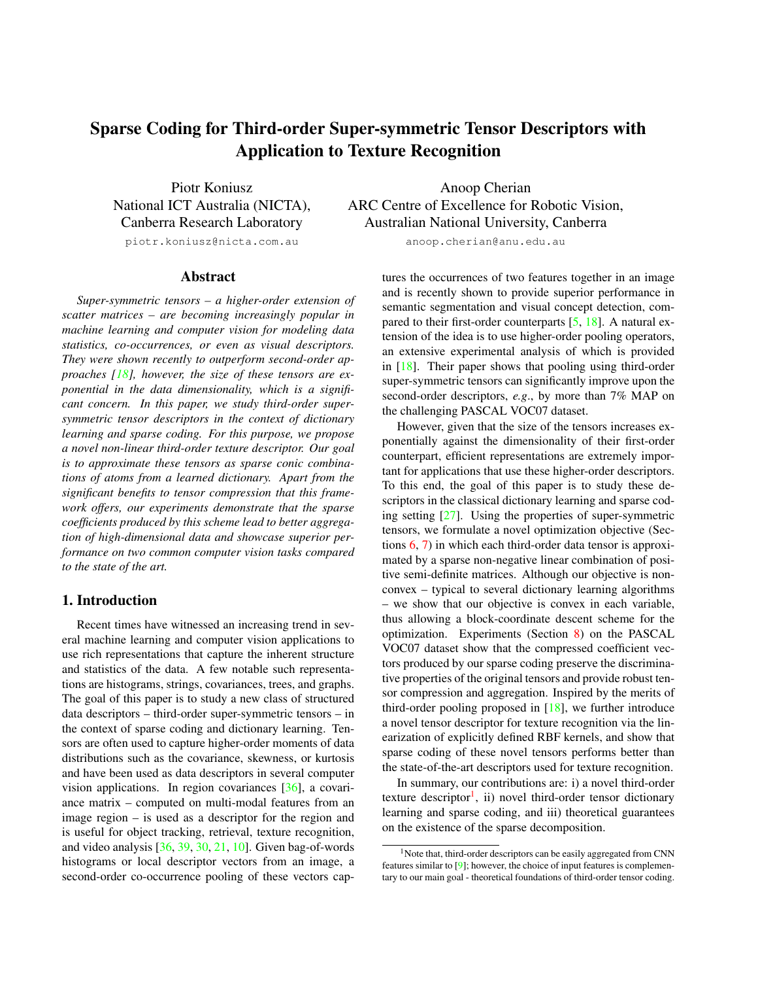# <span id="page-0-1"></span><span id="page-0-0"></span>Sparse Coding for Third-order Super-symmetric Tensor Descriptors with Application to Texture Recognition

Piotr Koniusz National ICT Australia (NICTA), Canberra Research Laboratory

piotr.koniusz@nicta.com.au

#### Abstract

*Super-symmetric tensors – a higher-order extension of scatter matrices – are becoming increasingly popular in machine learning and computer vision for modeling data statistics, co-occurrences, or even as visual descriptors. They were shown recently to outperform second-order approaches [\[18\]](#page-8-0), however, the size of these tensors are exponential in the data dimensionality, which is a significant concern. In this paper, we study third-order supersymmetric tensor descriptors in the context of dictionary learning and sparse coding. For this purpose, we propose a novel non-linear third-order texture descriptor. Our goal is to approximate these tensors as sparse conic combinations of atoms from a learned dictionary. Apart from the significant benefits to tensor compression that this framework offers, our experiments demonstrate that the sparse coefficients produced by this scheme lead to better aggregation of high-dimensional data and showcase superior performance on two common computer vision tasks compared to the state of the art.*

# 1. Introduction

Recent times have witnessed an increasing trend in several machine learning and computer vision applications to use rich representations that capture the inherent structure and statistics of the data. A few notable such representations are histograms, strings, covariances, trees, and graphs. The goal of this paper is to study a new class of structured data descriptors – third-order super-symmetric tensors – in the context of sparse coding and dictionary learning. Tensors are often used to capture higher-order moments of data distributions such as the covariance, skewness, or kurtosis and have been used as data descriptors in several computer vision applications. In region covariances [\[36\]](#page-8-1), a covariance matrix – computed on multi-modal features from an image region – is used as a descriptor for the region and is useful for object tracking, retrieval, texture recognition, and video analysis [\[36,](#page-8-1) [39,](#page-8-2) [30,](#page-8-3) [21,](#page-8-4) [10\]](#page-8-5). Given bag-of-words histograms or local descriptor vectors from an image, a second-order co-occurrence pooling of these vectors cap-

Anoop Cherian ARC Centre of Excellence for Robotic Vision, Australian National University, Canberra

anoop.cherian@anu.edu.au

tures the occurrences of two features together in an image and is recently shown to provide superior performance in semantic segmentation and visual concept detection, compared to their first-order counterparts  $[5, 18]$  $[5, 18]$  $[5, 18]$ . A natural extension of the idea is to use higher-order pooling operators, an extensive experimental analysis of which is provided in [\[18\]](#page-8-0). Their paper shows that pooling using third-order super-symmetric tensors can significantly improve upon the second-order descriptors, *e.g*., by more than 7% MAP on the challenging PASCAL VOC07 dataset.

However, given that the size of the tensors increases exponentially against the dimensionality of their first-order counterpart, efficient representations are extremely important for applications that use these higher-order descriptors. To this end, the goal of this paper is to study these descriptors in the classical dictionary learning and sparse coding setting [\[27\]](#page-8-7). Using the properties of super-symmetric tensors, we formulate a novel optimization objective (Sections [6,](#page-3-0) [7\)](#page-5-0) in which each third-order data tensor is approximated by a sparse non-negative linear combination of positive semi-definite matrices. Although our objective is nonconvex – typical to several dictionary learning algorithms – we show that our objective is convex in each variable, thus allowing a block-coordinate descent scheme for the optimization. Experiments (Section [8\)](#page-5-1) on the PASCAL VOC07 dataset show that the compressed coefficient vectors produced by our sparse coding preserve the discriminative properties of the original tensors and provide robust tensor compression and aggregation. Inspired by the merits of third-order pooling proposed in  $[18]$ , we further introduce a novel tensor descriptor for texture recognition via the linearization of explicitly defined RBF kernels, and show that sparse coding of these novel tensors performs better than the state-of-the-art descriptors used for texture recognition.

In summary, our contributions are: i) a novel third-order texture descriptor<sup>1</sup>, ii) novel third-order tensor dictionary learning and sparse coding, and iii) theoretical guarantees on the existence of the sparse decomposition.

<sup>&</sup>lt;sup>1</sup>Note that, third-order descriptors can be easily aggregated from CNN features similar to [\[9\]](#page-8-8); however, the choice of input features is complementary to our main goal - theoretical foundations of third-order tensor coding.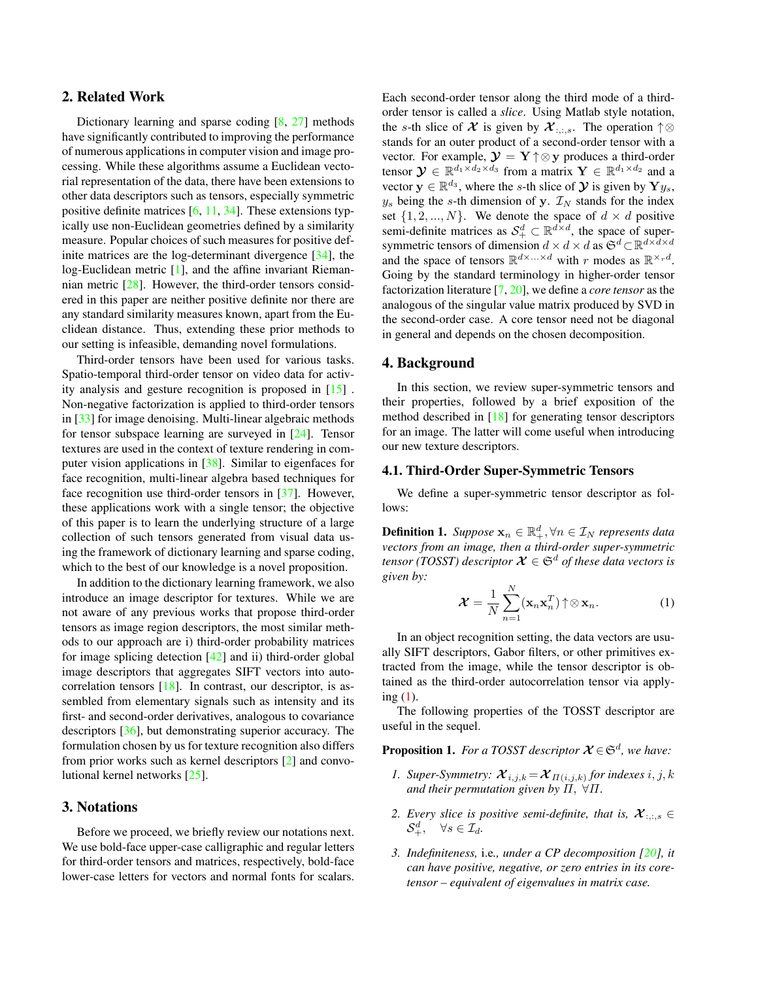# <span id="page-1-1"></span>2. Related Work

Dictionary learning and sparse coding [\[8,](#page-8-9) [27\]](#page-8-7) methods have significantly contributed to improving the performance of numerous applications in computer vision and image processing. While these algorithms assume a Euclidean vectorial representation of the data, there have been extensions to other data descriptors such as tensors, especially symmetric positive definite matrices  $[6, 11, 34]$  $[6, 11, 34]$  $[6, 11, 34]$  $[6, 11, 34]$  $[6, 11, 34]$ . These extensions typically use non-Euclidean geometries defined by a similarity measure. Popular choices of such measures for positive definite matrices are the log-determinant divergence [\[34\]](#page-8-12), the log-Euclidean metric [\[1\]](#page-8-13), and the affine invariant Riemannian metric [\[28\]](#page-8-14). However, the third-order tensors considered in this paper are neither positive definite nor there are any standard similarity measures known, apart from the Euclidean distance. Thus, extending these prior methods to our setting is infeasible, demanding novel formulations.

Third-order tensors have been used for various tasks. Spatio-temporal third-order tensor on video data for activity analysis and gesture recognition is proposed in [\[15\]](#page-8-15) . Non-negative factorization is applied to third-order tensors in [\[33\]](#page-8-16) for image denoising. Multi-linear algebraic methods for tensor subspace learning are surveyed in [\[24\]](#page-8-17). Tensor textures are used in the context of texture rendering in computer vision applications in [\[38\]](#page-8-18). Similar to eigenfaces for face recognition, multi-linear algebra based techniques for face recognition use third-order tensors in [\[37\]](#page-8-19). However, these applications work with a single tensor; the objective of this paper is to learn the underlying structure of a large collection of such tensors generated from visual data using the framework of dictionary learning and sparse coding, which to the best of our knowledge is a novel proposition.

In addition to the dictionary learning framework, we also introduce an image descriptor for textures. While we are not aware of any previous works that propose third-order tensors as image region descriptors, the most similar methods to our approach are i) third-order probability matrices for image splicing detection [\[42\]](#page-8-20) and ii) third-order global image descriptors that aggregates SIFT vectors into autocorrelation tensors [\[18\]](#page-8-0). In contrast, our descriptor, is assembled from elementary signals such as intensity and its first- and second-order derivatives, analogous to covariance descriptors [\[36\]](#page-8-1), but demonstrating superior accuracy. The formulation chosen by us for texture recognition also differs from prior works such as kernel descriptors [\[2\]](#page-8-21) and convolutional kernel networks [\[25\]](#page-8-22).

# 3. Notations

Before we proceed, we briefly review our notations next. We use bold-face upper-case calligraphic and regular letters for third-order tensors and matrices, respectively, bold-face lower-case letters for vectors and normal fonts for scalars.

Each second-order tensor along the third mode of a thirdorder tensor is called a *slice*. Using Matlab style notation, the s-th slice of X is given by  $\mathcal{X}_{:,:s}$ . The operation  $\uparrow \otimes$ stands for an outer product of a second-order tensor with a vector. For example,  $\mathbf{y} = \mathbf{Y} \uparrow \otimes \mathbf{y}$  produces a third-order tensor  $\mathbf{y} \in \mathbb{R}^{d_1 \times d_2 \times d_3}$  from a matrix  $\mathbf{Y} \in \mathbb{R}^{d_1 \times d_2}$  and a vector  $y \in \mathbb{R}^{d_3}$ , where the s-th slice of  $\mathcal{Y}$  is given by  $\mathbf{Y}y_s$ ,  $y_s$  being the s-th dimension of y.  $\mathcal{I}_N$  stands for the index set  $\{1, 2, ..., N\}$ . We denote the space of  $d \times d$  positive semi-definite matrices as  $\mathcal{S}^d_+ \subset \mathbb{R}^{d \times d}$ , the space of supersymmetric tensors of dimension  $d \times d \times d$  as  $\mathfrak{S}^d \subset \mathbb{R}^{d \times d \times d}$ and the space of tensors  $\mathbb{R}^{d \times ... \times d}$  with r modes as  $\mathbb{R}^{\times rd}$ . Going by the standard terminology in higher-order tensor factorization literature [\[7,](#page-8-23) [20\]](#page-8-24), we define a *core tensor* as the analogous of the singular value matrix produced by SVD in the second-order case. A core tensor need not be diagonal in general and depends on the chosen decomposition.

#### 4. Background

In this section, we review super-symmetric tensors and their properties, followed by a brief exposition of the method described in [\[18\]](#page-8-0) for generating tensor descriptors for an image. The latter will come useful when introducing our new texture descriptors.

#### 4.1. Third-Order Super-Symmetric Tensors

We define a super-symmetric tensor descriptor as follows:

**Definition 1.** *Suppose*  $\mathbf{x}_n \in \mathbb{R}_+^d, \forall n \in \mathcal{I}_N$  *represents data vectors from an image, then a third-order super-symmetric tensor (TOSST) descriptor*  $\mathcal{X} \in \mathfrak{S}^d$  *of these data vectors is given by:*

<span id="page-1-0"></span>
$$
\mathcal{X} = \frac{1}{N} \sum_{n=1}^{N} (\mathbf{x}_n \mathbf{x}_n^T) \uparrow \otimes \mathbf{x}_n.
$$
 (1)

In an object recognition setting, the data vectors are usually SIFT descriptors, Gabor filters, or other primitives extracted from the image, while the tensor descriptor is obtained as the third-order autocorrelation tensor via applying [\(1\)](#page-1-0).

The following properties of the TOSST descriptor are useful in the sequel.

**Proposition 1.** For a TOSST descriptor  $\mathcal{X} \in \mathfrak{S}^d$ , we have:

- *1.* Super-Symmetry:  $\mathcal{X}_{i,j,k} = \mathcal{X}_{\Pi(i,j,k)}$  for indexes  $i, j, k$ *and their permutation given by*  $\widetilde{H}$ ,  $\forall \Pi$ .
- 2. *Every slice is positive semi-definite, that is,*  $\mathcal{X}_{\dots,s}$  $\mathcal{S}_{+}^{d}, \quad \forall s \in \mathcal{I}_{d}.$
- *3. Indefiniteness,* i.e*., under a CP decomposition [\[20\]](#page-8-24), it can have positive, negative, or zero entries in its coretensor – equivalent of eigenvalues in matrix case.*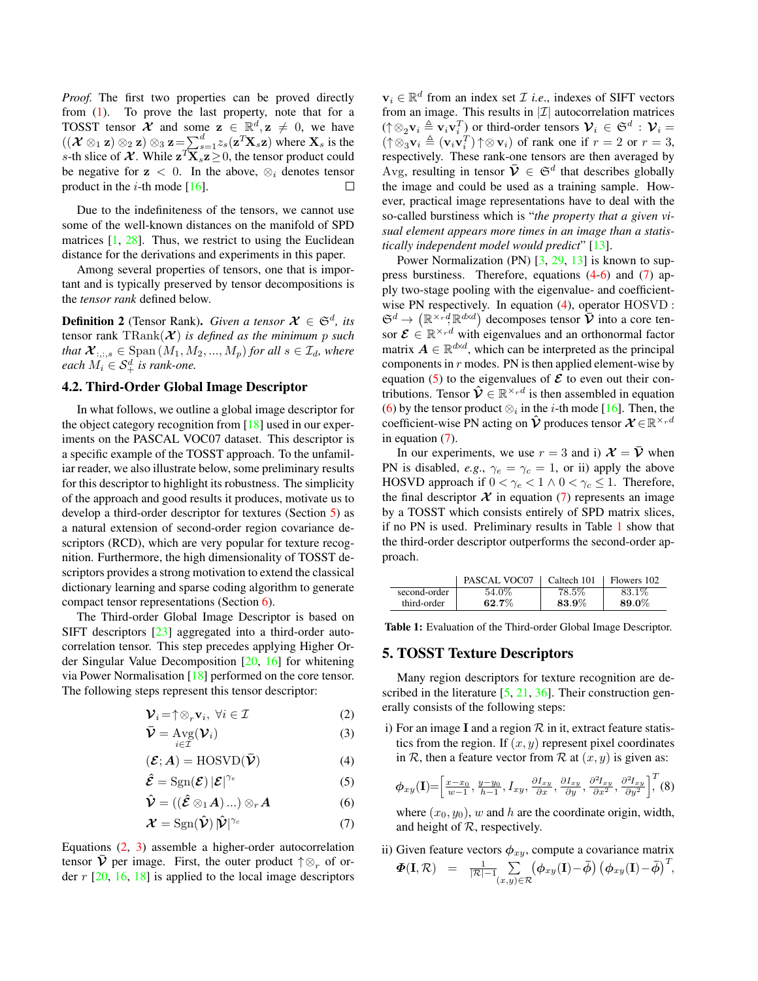<span id="page-2-11"></span>*Proof.* The first two properties can be proved directly from [\(1\)](#page-1-0). To prove the last property, note that for a TOSST tensor  $\mathcal{X}$  and some  $z \in \mathbb{R}^d, z \neq 0$ , we have  $((\mathcal{X} \otimes_1 \mathbf{z}) \otimes_2 \mathbf{z}) \otimes_3 \mathbf{z} = \sum_{s=1}^d z_s(\mathbf{z}^T \mathbf{X}_s \mathbf{z})$  where  $\mathbf{X}_s$  is the s-th slice of  $\mathcal{X}$ . While  $\mathbf{z}^T \mathbf{X}_s \mathbf{z} \geq 0$ , the tensor product could be negative for  $z < 0$ . In the above,  $\otimes_i$  denotes tensor product in the *i*-th mode  $[16]$ .  $\Box$ 

Due to the indefiniteness of the tensors, we cannot use some of the well-known distances on the manifold of SPD matrices  $[1, 28]$  $[1, 28]$  $[1, 28]$ . Thus, we restrict to using the Euclidean distance for the derivations and experiments in this paper.

Among several properties of tensors, one that is important and is typically preserved by tensor decompositions is the *tensor rank* defined below.

<span id="page-2-9"></span>**Definition 2** (Tensor Rank). *Given a tensor*  $\mathcal{X} \in \mathfrak{S}^d$ , *its* tensor rank  $\text{TRank}(\boldsymbol{\mathcal{X}})$  *is defined as the minimum p such that*  $\mathcal{X}_{:,:,s} \in \text{Span}(M_1, M_2, ..., M_p)$  *for all*  $s \in \mathcal{I}_d$ *, where*  $\textit{each } M_i \in \mathcal{S}_+^d$  is rank-one.

# <span id="page-2-10"></span>4.2. Third-Order Global Image Descriptor

In what follows, we outline a global image descriptor for the object category recognition from [\[18\]](#page-8-0) used in our experiments on the PASCAL VOC07 dataset. This descriptor is a specific example of the TOSST approach. To the unfamiliar reader, we also illustrate below, some preliminary results for this descriptor to highlight its robustness. The simplicity of the approach and good results it produces, motivate us to develop a third-order descriptor for textures (Section [5\)](#page-2-0) as a natural extension of second-order region covariance descriptors (RCD), which are very popular for texture recognition. Furthermore, the high dimensionality of TOSST descriptors provides a strong motivation to extend the classical dictionary learning and sparse coding algorithm to generate compact tensor representations (Section [6\)](#page-3-0).

The Third-order Global Image Descriptor is based on SIFT descriptors [\[23\]](#page-8-26) aggregated into a third-order autocorrelation tensor. This step precedes applying Higher Order Singular Value Decomposition [\[20,](#page-8-24) [16\]](#page-8-25) for whitening via Power Normalisation [\[18\]](#page-8-0) performed on the core tensor. The following steps represent this tensor descriptor:

$$
\mathbf{\mathcal{V}}_i = \uparrow \otimes_r \mathbf{v}_i, \ \forall i \in \mathcal{I} \tag{2}
$$

$$
\bar{\mathbf{V}} = \operatorname{Avg}(\mathbf{V}_i)
$$
 (3)

$$
(\mathcal{E}; A) = \text{HOSVD}(\bar{\mathcal{V}})
$$
 (4)

$$
\hat{\mathcal{E}} = \text{Sgn}(\mathcal{E}) |\mathcal{E}|^{\gamma_e} \tag{5}
$$

$$
\hat{\mathcal{V}} = ((\hat{\mathcal{E}} \otimes_1 A) \dots) \otimes_r A \tag{6}
$$

$$
\mathcal{X} = \text{Sgn}(\hat{\mathcal{V}}) |\hat{\mathcal{V}}|^{\gamma_c} \tag{7}
$$

Equations [\(2,](#page-2-1) [3\)](#page-2-2) assemble a higher-order autocorrelation tensor  $\bar{\mathbf{\mathcal{V}}}$  per image. First, the outer product  $\uparrow \otimes_r$  of order  $r$  [\[20,](#page-8-24) [16,](#page-8-25) [18\]](#page-8-0) is applied to the local image descriptors

 $v_i \in \mathbb{R}^d$  from an index set *I i.e.*, indexes of SIFT vectors from an image. This results in  $|\mathcal{I}|$  autocorrelation matrices  $(\uparrow \otimes_2 \mathbf{v}_i \triangleq \mathbf{v}_i \mathbf{v}_i^T)$  or third-order tensors  $\mathcal{V}_i \in \mathfrak{S}^d$  :  $\mathcal{V}_i =$  $(\uparrow \otimes_3^2 \mathbf{v}_i \triangleq (\mathbf{v}_i \mathbf{v}_i^T) \uparrow \otimes \mathbf{v}_i)$  of rank one if  $r = 2$  or  $r = 3$ , respectively. These rank-one tensors are then averaged by Avg, resulting in tensor  $\bar{\mathbf{\mathcal{V}}} \in \mathfrak{S}^d$  that describes globally the image and could be used as a training sample. However, practical image representations have to deal with the so-called burstiness which is "*the property that a given visual element appears more times in an image than a statistically independent model would predict*" [\[13\]](#page-8-27).

Power Normalization (PN) [\[3,](#page-8-28) [29,](#page-8-29) [13\]](#page-8-27) is known to suppress burstiness. Therefore, equations  $(4-6)$  $(4-6)$  and  $(7)$  apply two-stage pooling with the eigenvalue- and coefficientwise PN respectively. In equation [\(4\)](#page-2-3), operator HOSVD :  $\mathfrak{S}^d \to \left( \mathbb{R}^{\times_r} \dot{d}, \mathbb{R}^{d \times d} \right)$  decomposes tensor  $\overline{\mathcal{V}}$  into a core tensor  $\mathcal{E} \in \mathbb{R}^{\times_r d}$  with eigenvalues and an orthonormal factor matrix  $A \in \mathbb{R}^{d \times d}$ , which can be interpreted as the principal components in  $r$  modes. PN is then applied element-wise by equation [\(5\)](#page-2-6) to the eigenvalues of  $\mathcal E$  to even out their contributions. Tensor  $\hat{\mathcal{V}} \in \mathbb{R}^{\times_r d}$  is then assembled in equation [\(6\)](#page-2-4) by the tensor product  $\otimes_i$  in the *i*-th mode [\[16\]](#page-8-25). Then, the coefficient-wise PN acting on  $\hat{\mathcal{V}}$  produces tensor  $\mathcal{X} \in \mathbb{R}^{\times_r d}$ in equation [\(7\)](#page-2-5).

In our experiments, we use  $r = 3$  and i)  $\mathcal{X} = \overline{\mathcal{V}}$  when PN is disabled, *e.g.*,  $\gamma_e = \gamma_c = 1$ , or ii) apply the above HOSVD approach if  $0 < \gamma_e < 1 \land 0 < \gamma_c \leq 1$ . Therefore, the final descriptor  $X$  in equation [\(7\)](#page-2-5) represents an image by a TOSST which consists entirely of SPD matrix slices, if no PN is used. Preliminary results in Table [1](#page-2-7) show that the third-order descriptor outperforms the second-order approach.

<span id="page-2-7"></span>

|              | PASCAL VOC07 | Caltech 101 | Flowers 102 |
|--------------|--------------|-------------|-------------|
| second-order | 54.0%        | 78.5%       | 83.1\%      |
| third-order  | 62.7%        | 83.9%       | 89.0%       |

Table 1: Evaluation of the Third-order Global Image Descriptor.

# <span id="page-2-0"></span>5. TOSST Texture Descriptors

Many region descriptors for texture recognition are described in the literature  $[5, 21, 36]$  $[5, 21, 36]$  $[5, 21, 36]$  $[5, 21, 36]$  $[5, 21, 36]$ . Their construction generally consists of the following steps:

<span id="page-2-3"></span><span id="page-2-2"></span><span id="page-2-1"></span>i) For an image I and a region  $R$  in it, extract feature statistics from the region. If  $(x, y)$  represent pixel coordinates in R, then a feature vector from R at  $(x, y)$  is given as:

<span id="page-2-8"></span><span id="page-2-6"></span>
$$
\phi_{xy}(\mathbf{I}) = \left[\frac{x - x_0}{w - 1}, \frac{y - y_0}{h - 1}, I_{xy}, \frac{\partial I_{xy}}{\partial x}, \frac{\partial I_{xy}}{\partial y}, \frac{\partial^2 I_{xy}}{\partial x^2}, \frac{\partial^2 I_{xy}}{\partial y^2}\right]^T (8)
$$

<span id="page-2-4"></span>where  $(x_0, y_0)$ , w and h are the coordinate origin, width, and height of  $R$ , respectively.

<span id="page-2-5"></span>ii) Given feature vectors  $\phi_{xy}$ , compute a covariance matrix  $\Phi(\mathbf{I},\mathcal{R}) = \frac{1}{|\mathcal{R}|-1} \sum_{(\mathbf{x},\mathbf{y})\in\mathcal{R}}$  $(x,y)$ ∈R  $(\boldsymbol{\phi}_{xy}(\mathbf{I})-\bar{\boldsymbol{\phi}})\left(\boldsymbol{\phi}_{xy}(\mathbf{I})-\bar{\boldsymbol{\phi}}\right)^T,$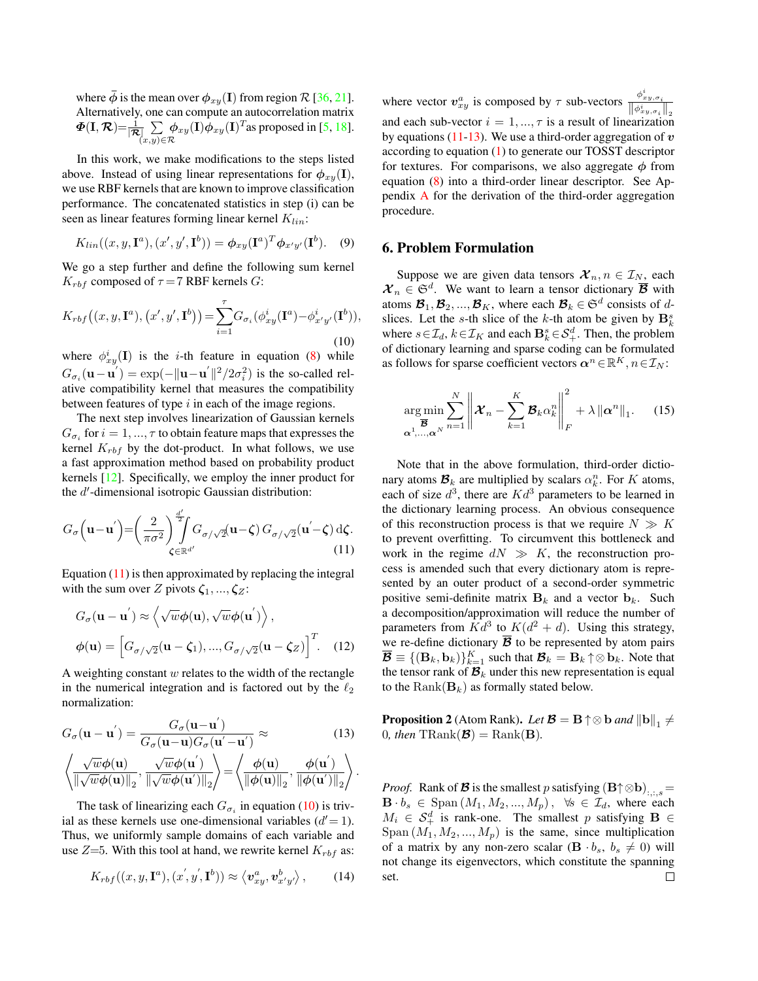<span id="page-3-7"></span>where  $\phi$  is the mean over  $\phi_{xy}(\mathbf{I})$  from region  $\mathcal{R}$  [\[36,](#page-8-1) [21\]](#page-8-4). Alternatively, one can compute an autocorrelation matrix  $\boldsymbol \Phi(\mathbf{I},\boldsymbol{\mathcal{R}}){=}\frac{1}{|\boldsymbol{\mathcal{R}}|}\sum\limits_{\alpha\in\mathbb{N}\backslash\mathbb{Z}}% \sum\limits_{\beta\in\mathbb{Z}}\tilde{\mathcal{R}}_{\alpha\in\mathbb{N}\backslash\mathbb{Z}}^{(n)}$ (x,y)∈R  $\phi_{xy}(\mathbf{I})\phi_{xy}(\mathbf{I})^T$ as proposed in [\[5,](#page-8-6) [18\]](#page-8-0).

In this work, we make modifications to the steps listed above. Instead of using linear representations for  $\phi_{xy}(\mathbf{I}),$ we use RBF kernels that are known to improve classification performance. The concatenated statistics in step (i) can be seen as linear features forming linear kernel  $K_{lin}$ :

<span id="page-3-6"></span>
$$
K_{lin}((x, y, \mathbf{I}^a), (x', y', \mathbf{I}^b)) = \phi_{xy}(\mathbf{I}^a)^T \phi_{x'y'}(\mathbf{I}^b).
$$
 (9)

We go a step further and define the following sum kernel  $K_{rbf}$  composed of  $\tau = 7$  RBF kernels G:

<span id="page-3-2"></span>
$$
K_{rbf}((x, y, \mathbf{I}^a), (x', y', \mathbf{I}^b)) = \sum_{i=1}^{\tau} G_{\sigma_i}(\phi_{xy}^i(\mathbf{I}^a) - \phi_{x'y'}^i(\mathbf{I}^b)),
$$
\n(10)

where  $\phi_{xy}^i(I)$  is the *i*-th feature in equation [\(8\)](#page-2-8) while  $G_{\sigma_i}(\mathbf{u}-\mathbf{u}^{'}) = \exp(-\|\mathbf{u}-\mathbf{u}^{'}\|^2/2\sigma_i^2)$  is the so-called relative compatibility kernel that measures the compatibility between features of type  $i$  in each of the image regions.

The next step involves linearization of Gaussian kernels  $G_{\sigma_i}$  for  $i = 1, ..., \tau$  to obtain feature maps that expresses the kernel  $K_{rbf}$  by the dot-product. In what follows, we use a fast approximation method based on probability product kernels [\[12\]](#page-8-30). Specifically, we employ the inner product for the  $d'$ -dimensional isotropic Gaussian distribution:

$$
G_{\sigma}\left(\mathbf{u}-\mathbf{u}'\right) = \left(\frac{2}{\pi\sigma^2}\right)^{\frac{d'}{2}} \int_{\zeta \in \mathbb{R}^{d'}} G_{\sigma/\sqrt{2}}(\mathbf{u}-\zeta) G_{\sigma/\sqrt{2}}(\mathbf{u}'-\zeta) d\zeta.
$$
\n(11)

Equation  $(11)$  is then approximated by replacing the integral with the sum over Z pivots  $\zeta_1, ..., \zeta_Z$ :

$$
G_{\sigma}(\mathbf{u} - \mathbf{u}') \approx \left\langle \sqrt{w} \phi(\mathbf{u}), \sqrt{w} \phi(\mathbf{u}') \right\rangle,
$$
  

$$
\phi(\mathbf{u}) = \left[ G_{\sigma/\sqrt{2}}(\mathbf{u} - \zeta_1), ..., G_{\sigma/\sqrt{2}}(\mathbf{u} - \zeta_Z) \right]^T. \quad (12)
$$

A weighting constant  $w$  relates to the width of the rectangle in the numerical integration and is factored out by the  $\ell_2$ normalization:

$$
G_{\sigma}(\mathbf{u} - \mathbf{u}') = \frac{G_{\sigma}(\mathbf{u} - \mathbf{u}')}{G_{\sigma}(\mathbf{u} - \mathbf{u})G_{\sigma}(\mathbf{u}' - \mathbf{u}')} \approx
$$
(13)

$$
\left\langle \frac{\sqrt{w}\phi(\mathbf{u})}{\|\sqrt{w}\phi(\mathbf{u})\|_2}, \frac{\sqrt{w}\phi(\mathbf{u}^{'})}{\|\sqrt{w}\phi(\mathbf{u}^{'})\|_2} \right\rangle \!=\! \left\langle \frac{\phi(\mathbf{u})}{\|\phi(\mathbf{u})\|_2}, \frac{\phi(\mathbf{u}^{'})}{\|\phi(\mathbf{u}^{'})\|_2} \right\rangle
$$

.

The task of linearizing each  $G_{\sigma_i}$  in equation [\(10\)](#page-3-2) is trivial as these kernels use one-dimensional variables  $(d' = 1)$ . Thus, we uniformly sample domains of each variable and use  $Z=5$ . With this tool at hand, we rewrite kernel  $K_{rbf}$  as:

$$
K_{rbf}((x,y,\mathbf{I}^a),(x',y',\mathbf{I}^b)) \approx \langle v_{xy}^a, v_{x'y'}^b \rangle, \qquad (14)
$$

where vector  $v_{xy}^a$  is composed by  $\tau$  sub-vectors  $\frac{\phi_{xy,\sigma_i}^i}{\|\phi_{xy,\sigma_i}^i\|_2}$ and each sub-vector  $i = 1, ..., \tau$  is a result of linearization by equations [\(11-](#page-3-1)[13\)](#page-3-3). We use a third-order aggregation of  $v$ according to equation [\(1\)](#page-1-0) to generate our TOSST descriptor for textures. For comparisons, we also aggregate  $\phi$  from equation [\(8\)](#page-2-8) into a third-order linear descriptor. See Appendix [A](#page-7-0) for the derivation of the third-order aggregation procedure.

#### <span id="page-3-0"></span>6. Problem Formulation

Suppose we are given data tensors  $\mathcal{X}_n, n \in \mathcal{I}_N$ , each  $\mathcal{X}_n \in \mathfrak{S}^d$ . We want to learn a tensor dictionary  $\overline{\mathcal{B}}$  with atoms  $\mathcal{B}_1, \mathcal{B}_2, ..., \mathcal{B}_K$ , where each  $\mathcal{B}_k \in \mathfrak{S}^d$  consists of  $d$ slices. Let the s-th slice of the k-th atom be given by  $\mathbf{B}_k^s$ where  $s \in \mathcal{I}_d$ ,  $k \in \mathcal{I}_K$  and each  $\mathbf{B}_k^s \in \mathcal{S}_{+}^d$ . Then, the problem of dictionary learning and sparse coding can be formulated as follows for sparse coefficient vectors  $\boldsymbol{\alpha}^n \in \mathbb{R}^K, n \in \mathcal{I}_N$ :

<span id="page-3-4"></span>
$$
\underset{\alpha^1,\ldots,\alpha^N}{\arg\min} \sum_{n=1}^N \left\| \boldsymbol{\mathcal{X}}_n - \sum_{k=1}^K \boldsymbol{\mathcal{B}}_k \alpha_k^n \right\|_F^2 + \lambda \left\| \boldsymbol{\alpha}^n \right\|_1. \tag{15}
$$

<span id="page-3-1"></span>Note that in the above formulation, third-order dictionary atoms  $\mathcal{B}_k$  are multiplied by scalars  $\alpha_k^n$ . For K atoms, each of size  $d^3$ , there are  $Kd^3$  parameters to be learned in the dictionary learning process. An obvious consequence of this reconstruction process is that we require  $N \gg K$ to prevent overfitting. To circumvent this bottleneck and work in the regime  $dN \gg K$ , the reconstruction process is amended such that every dictionary atom is represented by an outer product of a second-order symmetric positive semi-definite matrix  $B_k$  and a vector  $b_k$ . Such a decomposition/approximation will reduce the number of parameters from  $Kd^3$  to  $K(d^2 + d)$ . Using this strategy, we re-define dictionary  $\overline{B}$  to be represented by atom pairs  $\overline{\mathcal{B}} \equiv \{(\mathbf{B}_k, \mathbf{b}_k)\}_{k=1}^K$  such that  $\mathcal{B}_k = \mathbf{B}_k \uparrow \otimes \mathbf{b}_k$ . Note that the tensor rank of  $\mathcal{B}_k$  under this new representation is equal to the  $\text{Rank}(\mathbf{B}_k)$  as formally stated below.

<span id="page-3-5"></span><span id="page-3-3"></span>**Proposition 2** (Atom Rank). *Let*  $\mathcal{B} = \mathbf{B} \uparrow \otimes \mathbf{b}$  and  $\|\mathbf{b}\|_{1} \neq 0$ 0*, then*  $\text{TRank}(\mathcal{B}) = \text{Rank}(\mathbf{B})$ .

*Proof.* Rank of **B** is the smallest p satisfying  $(B \uparrow \otimes b)$ <sub>:.:.s</sub> =  $\mathbf{B} \cdot b_s \in \text{Span}(M_1, M_2, ..., M_p), \forall s \in \mathcal{I}_d, \text{ where each }$  $M_i \in \mathcal{S}_+^d$  is rank-one. The smallest p satisfying  $\mathbf{B} \in$  $Span(M_1, M_2, ..., M_p)$  is the same, since multiplication of a matrix by any non-zero scalar  $(\mathbf{B} \cdot b_s, b_s \neq 0)$  will not change its eigenvectors, which constitute the spanning  $\Box$ set.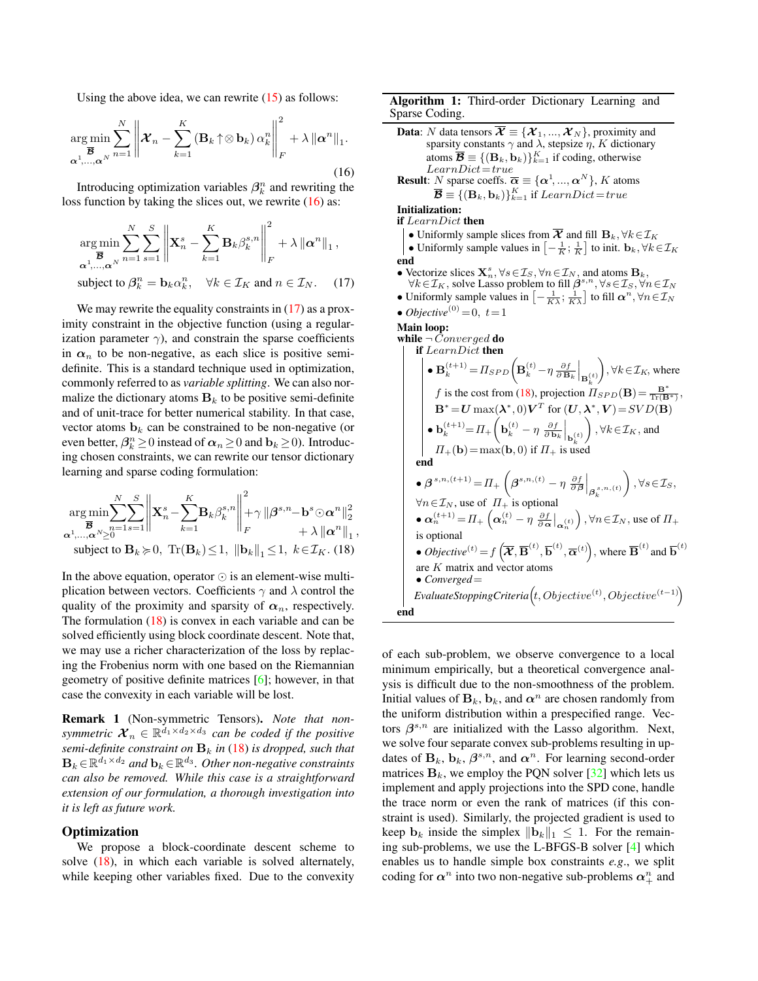<span id="page-4-4"></span>Using the above idea, we can rewrite [\(15\)](#page-3-4) as follows:

<span id="page-4-0"></span>
$$
\underset{\mathbf{\alpha}^1,\ldots,\mathbf{\alpha}^N}{\text{arg min}} \sum_{n=1}^N \left\| \mathcal{X}_n - \sum_{k=1}^K \left( \mathbf{B}_k \uparrow \otimes \mathbf{b}_k \right) \alpha_k^n \right\|_F^2 + \lambda \left\| \mathbf{\alpha}^n \right\|_1.
$$
\n(16)

Introducing optimization variables  $\beta_k^n$  and rewriting the loss function by taking the slices out, we rewrite [\(16\)](#page-4-0) as:

$$
\underset{\mathbf{\alpha}^{1}, \dots, \mathbf{\alpha}^{N}}{\arg \min} \sum_{n=1}^{N} \sum_{s=1}^{S} \left\| \mathbf{X}_{n}^{s} - \sum_{k=1}^{K} \mathbf{B}_{k} \beta_{k}^{s,n} \right\|_{F}^{2} + \lambda \left\| \mathbf{\alpha}^{n} \right\|_{1},
$$
\nsubject to  $\beta_{k}^{n} = \mathbf{b}_{k} \alpha_{k}^{n}, \quad \forall k \in \mathcal{I}_{K} \text{ and } n \in \mathcal{I}_{N}. \quad (17)$ 

We may rewrite the equality constraints in  $(17)$  as a proximity constraint in the objective function (using a regularization parameter  $\gamma$ ), and constrain the sparse coefficients in  $\alpha_n$  to be non-negative, as each slice is positive semidefinite. This is a standard technique used in optimization, commonly referred to as *variable splitting*. We can also normalize the dictionary atoms  $B_k$  to be positive semi-definite and of unit-trace for better numerical stability. In that case, vector atoms  $\mathbf{b}_k$  can be constrained to be non-negative (or even better,  $\beta_k^n \ge 0$  instead of  $\alpha_n \ge 0$  and  $\mathbf{b}_k \ge 0$ ). Introducing chosen constraints, we can rewrite our tensor dictionary learning and sparse coding formulation:

$$
\underset{\alpha^1,\ldots,\alpha^N\geq 0}{\arg\min} \sum_{n=1}^N \sum_{s=1}^S \left\| \mathbf{X}_n^s - \sum_{k=1}^K \mathbf{B}_k \beta_k^{s,n} \right\|_F^2 + \gamma \left\| \boldsymbol{\beta}^{s,n} - \mathbf{b}^s \odot \boldsymbol{\alpha}^n \right\|_2^2
$$
  
\n
$$
\alpha^1,\ldots,\alpha^N \geq 0
$$
  
\nsubject to  $\mathbf{B}_k \succcurlyeq 0$ ,  $\text{Tr}(\mathbf{B}_k) \leq 1$ ,  $\|\mathbf{b}_k\|_1 \leq 1$ ,  $k \in \mathcal{I}_K$ . (18)

In the above equation, operator  $\odot$  is an element-wise multiplication between vectors. Coefficients  $\gamma$  and  $\lambda$  control the quality of the proximity and sparsity of  $\alpha_n$ , respectively. The formulation [\(18\)](#page-4-2) is convex in each variable and can be solved efficiently using block coordinate descent. Note that, we may use a richer characterization of the loss by replacing the Frobenius norm with one based on the Riemannian geometry of positive definite matrices [\[6\]](#page-8-10); however, in that case the convexity in each variable will be lost.

Remark 1 (Non-symmetric Tensors). *Note that nonsymmetric*  $\mathcal{X}_n \in \mathbb{R}^{\overline{d_1} \times d_2 \times d_3}$  *can be coded if the positive semi-definite constraint on*  $B_k$  *in* [\(18\)](#page-4-2) *is dropped, such that*  $\mathbf{B}_k \!\in\! \mathbb{R}^{d_1 \times d_2}$  and  $\mathbf{b}_k \!\in\! \mathbb{R}^{d_3}$ . Other non-negative constraints *can also be removed. While this case is a straightforward extension of our formulation, a thorough investigation into it is left as future work.*

# **Optimization**

We propose a block-coordinate descent scheme to solve [\(18\)](#page-4-2), in which each variable is solved alternately, while keeping other variables fixed. Due to the convexity

Algorithm 1: Third-order Dictionary Learning and Sparse Coding.

```
Data: N data tensors \overline{\mathbf{X}} \equiv {\mathbf{X}_1, ..., \mathbf{X}_N}, proximity and
              sparsity constants \gamma and \lambda, stepsize \eta, K dictionary
              atoms \overline{\mathcal{B}} \equiv \{ (\mathbf{B}_k, \mathbf{b}_k) \}_{k=1}^K if coding, otherwise
              LearnDict = trueResult: N sparse coeffs. \overline{\alpha} \equiv {\{\alpha^1, ..., \alpha^N\}}, K atoms
                  \overline{\mathcal{B}}\equiv\{(\mathbf{B}_k,\mathbf{b}_k)\}_{k=1}^K if LearnDict=trueInitialization:
if LearnDict then
     • Uniformly sample slices from \overline{X} and fill B_k, \forall k \in \mathcal{I}_K• Uniformly sample values in \left[-\frac{1}{K};\frac{1}{K}\right] to init. \mathbf{b}_k, \forall k \in \mathcal{I}_Kend
• Vectorize slices \mathbf{X}_n^s, \forall s \in \mathcal{I}_S, \forall n \in \mathcal{I}_N, and atoms \mathbf{B}_k,
      \forall k \in \mathcal{I}_K, solve Lasso problem to fill \mathcal{B}^{s,n}, \forall s \in \mathcal{I}_S, \forall n \in \mathcal{I}_N• Uniformly sample values in \left[-\frac{1}{K\lambda};\frac{1}{K\lambda}\right] to fill \alpha^n, \forall n \in \mathcal{I}_N\bullet Objective<sup>(0)</sup> = 0, t=1
Main loop:
while \neg Converged do
        if LearnDict then
               \bullet \mathbf{B}_k^{(t+1)} = \prod_{SPD} \left( \mathbf{B}_k^{(t)} - \eta \frac{\partial f}{\partial \mathbf{B}_k} \Big|_{\mathbf{B}_k^{(t)}} \right)\Big), \forall k \in \mathcal{I}_K, where
                  (18), projection \Pi_{SPD}(\mathbf{B}) = \frac{\mathbf{B}^*}{\text{Tr}(\mathbf{B}^*)},
                  \mathbf{B}^* = \mathbf{U} \max(\boldsymbol{\lambda}^*, 0) \mathbf{V}^T for (\mathbf{U}, \boldsymbol{\lambda}^*, \mathbf{V}) = SVD(\mathbf{B})\bullet \mathbf{b}_k^{(t+1)} = \Pi_+\bigg(\mathbf{b}_k^{(t)} - \eta \left.\frac{\partial f}{\partial \mathbf{b}_k}\right|_{\mathbf{b}_k^{(t)}}\Big), \forall k \in \mathcal{I}_K, and
             \Pi_{+}(\mathbf{b}) = \max(\mathbf{b}, 0) if \Pi_{+} is used
         end
         \bullet \boldsymbol{\beta}^{s,n,(t+1)} = \prod_{+} \left( \boldsymbol{\beta}^{s,n,(t)} - \eta \left. \frac{\partial f}{\partial \boldsymbol{\beta}} \right|_{\boldsymbol{\beta}_{k}^{s,n,(t)}} \right)\Big), \forall s \in \mathcal{I}_S,\forall n \in \mathcal{I}_N, use of \Pi_+ is optional
         \bullet \boldsymbol{\alpha}_n^{(t+1)} = \Pi_+ \left( \boldsymbol{\alpha}_n^{(t)} - \eta \left. \frac{\partial f}{\partial \boldsymbol{\alpha}} \right|_{\boldsymbol{\alpha}_n^{(t)}} \right), \forall n \in \mathcal{I}_N, use of \Pi_+is optional
         • Objective<sup>(t)</sup> = f\left(\overline{\mathcal{X}}, \overline{\mathbf{B}}^{(t)}, \overline{\mathbf{b}}^{(t)}, \overline{\alpha}^{(t)}\right), where \overline{\mathbf{B}}^{(t)} and \overline{\mathbf{b}}^{(t)}are K matrix and vector atoms
        • Converged=
        Evaluate \textit{Stoping Criteria}(t, Objective^{(t)}, Objective^{(t-1)})end
```
<span id="page-4-3"></span><span id="page-4-2"></span>of each sub-problem, we observe convergence to a local minimum empirically, but a theoretical convergence analysis is difficult due to the non-smoothness of the problem. Initial values of  $B_k$ ,  $b_k$ , and  $\alpha^n$  are chosen randomly from the uniform distribution within a prespecified range. Vectors  $\beta^{s,n}$  are initialized with the Lasso algorithm. Next, we solve four separate convex sub-problems resulting in updates of  $B_k$ ,  $b_k$ ,  $\beta^{s,n}$ , and  $\alpha^n$ . For learning second-order matrices  $B_k$ , we employ the PQN solver [\[32\]](#page-8-31) which lets us implement and apply projections into the SPD cone, handle the trace norm or even the rank of matrices (if this constraint is used). Similarly, the projected gradient is used to keep  $\mathbf{b}_k$  inside the simplex  $\|\mathbf{b}_k\|_1 \leq 1$ . For the remaining sub-problems, we use the L-BFGS-B solver [\[4\]](#page-8-32) which enables us to handle simple box constraints *e.g*., we split coding for  $\alpha^n$  into two non-negative sub-problems  $\alpha^n_+$  and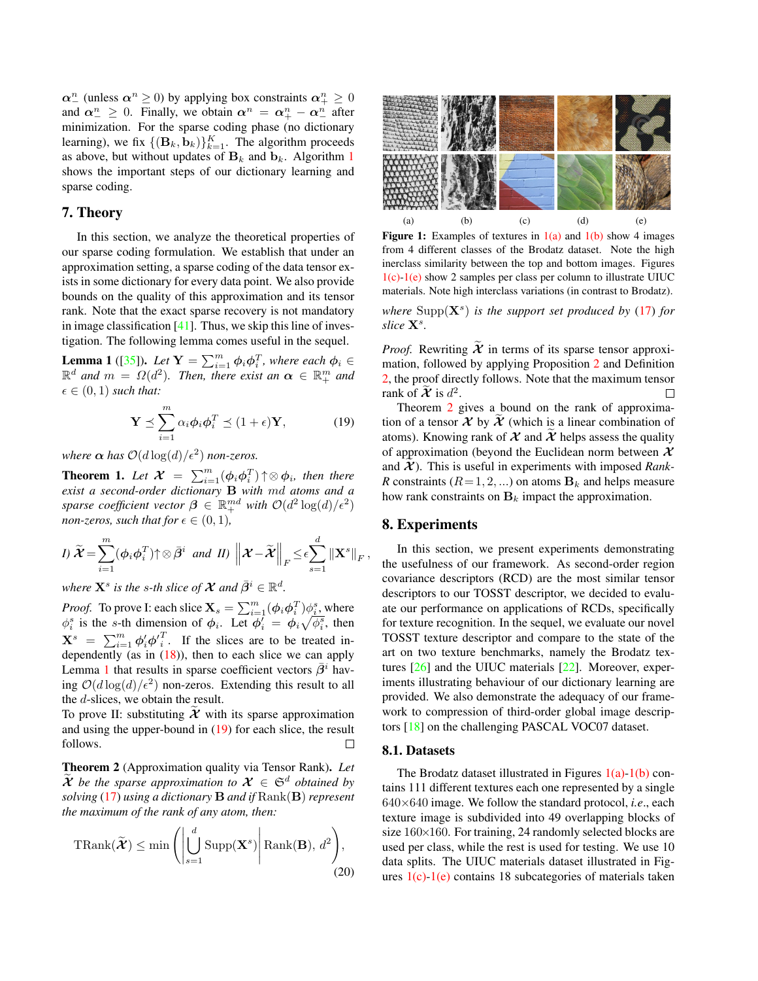<span id="page-5-8"></span> $\alpha_{-}^{n}$  (unless  $\alpha_{+}^{n} \ge 0$ ) by applying box constraints  $\alpha_{+}^{n} \ge 0$ and  $\alpha^n \geq 0$ . Finally, we obtain  $\alpha^n = \alpha^n_+ - \alpha^n_-$  after minimization. For the sparse coding phase (no dictionary learning), we fix  $\{(\mathbf{B}_k, \mathbf{b}_k)\}_{k=1}^K$ . The algorithm proceeds as above, but without updates of  $B_k$  and  $b_k$ . Algorithm [1](#page-4-3) shows the important steps of our dictionary learning and sparse coding.

# <span id="page-5-0"></span>7. Theory

In this section, we analyze the theoretical properties of our sparse coding formulation. We establish that under an approximation setting, a sparse coding of the data tensor exists in some dictionary for every data point. We also provide bounds on the quality of this approximation and its tensor rank. Note that the exact sparse recovery is not mandatory in image classification  $[41]$ . Thus, we skip this line of investigation. The following lemma comes useful in the sequel.

**Lemma 1** ([\[35\]](#page-8-34)). Let  $Y = \sum_{i=1}^{m} \phi_i \phi_i^T$ , where each  $\phi_i \in$  $\mathbb{R}^d$  and  $m = \Omega(d^2)$ . Then, there exist an  $\alpha \in \mathbb{R}^m_+$  and  $\epsilon \in (0,1)$  *such that:* 

<span id="page-5-2"></span>
$$
\mathbf{Y} \preceq \sum_{i=1}^{m} \alpha_i \phi_i \phi_i^T \preceq (1 + \epsilon) \mathbf{Y}, \tag{19}
$$

*where*  $\alpha$  *has*  $\mathcal{O}(d \log(d)/\epsilon^2)$  *non-zeros.* 

**Theorem 1.** Let  $\mathcal{X} = \sum_{i=1}^{m} (\phi_i \phi_i^T) \uparrow \otimes \phi_i$ , then there *exist a second-order dictionary* B *with* md *atoms and a sparse coefficient vector*  $\boldsymbol{\beta} \in \mathbb{R}^{md}$  *with*  $\mathcal{O}(d^2 \log(d)/\epsilon^2)$ *non-zeros, such that for*  $\epsilon \in (0, 1)$ *,* 

*I*) 
$$
\widetilde{\mathcal{X}} = \sum_{i=1}^{m} (\phi_i \phi_i^T) \uparrow \otimes \overline{\beta}^i
$$
 and *II*)  $\left\| \mathcal{X} - \widetilde{\mathcal{X}} \right\|_F \le \epsilon \sum_{s=1}^d \left\| \mathbf{X}^s \right\|_F$ ,

where  $\mathbf{X}^s$  is the s-th slice of  $\mathcal X$  and  $\bar \beta^i \in \mathbb R^d$ .

*Proof.* To prove I: each slice  $\mathbf{X}_s = \sum_{i=1}^m (\phi_i \phi_i^T) \phi_i^s$ , where  $\phi_i^s$  is the s-th dimension of  $\phi_i$ . Let  $\phi_i' = \phi_i \sqrt{\phi_i^s}$ , then  $\mathbf{X}^s = \sum_{i=1}^m \phi'_i \phi'^T_i$ . If the slices are to be treated independently (as in  $(18)$ ), then to each slice we can apply Lemma [1](#page-5-2) that results in sparse coefficient vectors  $\beta^i$  having  $\mathcal{O}(d \log(d)/\epsilon^2)$  non-zeros. Extending this result to all the d-slices, we obtain the result.

To prove II: substituting  $X$  with its sparse approximation and using the upper-bound in [\(19\)](#page-5-2) for each slice, the result follows. □

Theorem 2 (Approximation quality via Tensor Rank). *Let*  $\mathcal{X}$  be the sparse approximation to  $\mathcal{X} \in \mathfrak{S}^d$  obtained by *solving* [\(17\)](#page-4-1) *using a dictionary* B *and if* Rank(B) *represent the maximum of the rank of any atom, then:*

$$
\text{TRank}(\widetilde{\boldsymbol{X}}) \le \min\left(\left|\bigcup_{s=1}^{d} \text{Supp}(\mathbf{X}^{s})\right|\text{Rank}(\mathbf{B}), d^{2}\right),\tag{20}
$$

<span id="page-5-6"></span><span id="page-5-5"></span><span id="page-5-4"></span><span id="page-5-3"></span>

**Figure 1:** Examples of textures in  $1(a)$  and  $1(b)$  show 4 images from 4 different classes of the Brodatz dataset. Note the high inerclass similarity between the top and bottom images. Figures [1\(c\)](#page-5-5)[-1\(e\)](#page-5-6) show 2 samples per class per column to illustrate UIUC materials. Note high interclass variations (in contrast to Brodatz).

where  $\text{Supp}(\mathbf{X}^s)$  *is the support set produced by* [\(17\)](#page-4-1) *for* slice  $\mathbf{X}^s$ .

*Proof.* Rewriting  $\tilde{\mathcal{X}}$  in terms of its sparse tensor approximation, followed by applying Proposition [2](#page-3-5) and Definition [2,](#page-2-9) the proof directly follows. Note that the maximum tensor rank of  $\widetilde{\mathcal{X}}$  is  $d^2$ . П

Theorem [2](#page-5-7) gives a bound on the rank of approximation of a tensor  $\mathcal X$  by  $\mathcal X$  (which is a linear combination of atoms). Knowing rank of  $X$  and  $X$  helps assess the quality of approximation (beyond the Euclidean norm between  $\mathcal X$ and  $X$ ). This is useful in experiments with imposed *Rank*-*R* constraints ( $R = 1, 2, ...$ ) on atoms  $\mathbf{B}_k$  and helps measure how rank constraints on  $\mathbf{B}_k$  impact the approximation.

#### <span id="page-5-1"></span>8. Experiments

In this section, we present experiments demonstrating the usefulness of our framework. As second-order region covariance descriptors (RCD) are the most similar tensor descriptors to our TOSST descriptor, we decided to evaluate our performance on applications of RCDs, specifically for texture recognition. In the sequel, we evaluate our novel TOSST texture descriptor and compare to the state of the art on two texture benchmarks, namely the Brodatz textures [\[26\]](#page-8-35) and the UIUC materials [\[22\]](#page-8-36). Moreover, experiments illustrating behaviour of our dictionary learning are provided. We also demonstrate the adequacy of our framework to compression of third-order global image descriptors [\[18\]](#page-8-0) on the challenging PASCAL VOC07 dataset.

#### 8.1. Datasets

<span id="page-5-7"></span>The Brodatz dataset illustrated in Figures  $1(a)$ [-1\(b\)](#page-5-4) contains 111 different textures each one represented by a single 640×640 image. We follow the standard protocol, *i.e*., each texture image is subdivided into 49 overlapping blocks of size 160×160. For training, 24 randomly selected blocks are used per class, while the rest is used for testing. We use 10 data splits. The UIUC materials dataset illustrated in Figures  $1(c)$ [-1\(e\)](#page-5-6) contains 18 subcategories of materials taken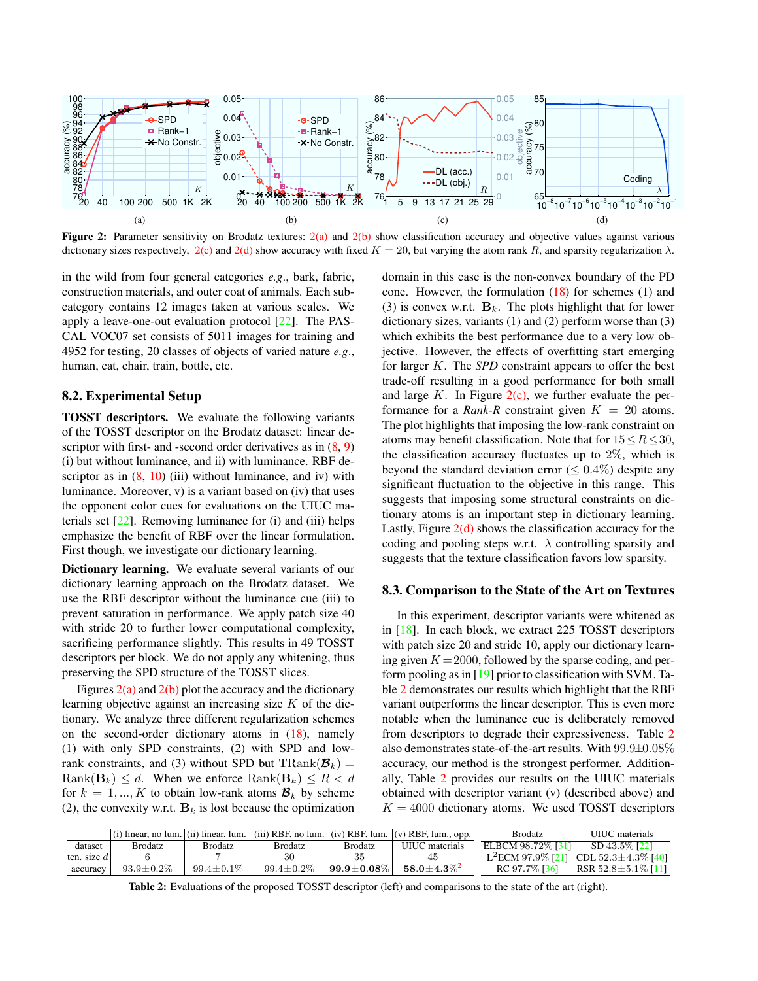<span id="page-6-6"></span><span id="page-6-0"></span>

<span id="page-6-1"></span>Figure 2: Parameter sensitivity on Brodatz textures:  $2(a)$  and  $2(b)$  show classification accuracy and objective values against various dictionary sizes respectively,  $2(c)$  and  $2(d)$  show accuracy with fixed  $K = 20$ , but varying the atom rank R, and sparsity regularization  $\lambda$ .

in the wild from four general categories *e.g*., bark, fabric, construction materials, and outer coat of animals. Each subcategory contains 12 images taken at various scales. We apply a leave-one-out evaluation protocol [\[22\]](#page-8-36). The PAS-CAL VOC07 set consists of 5011 images for training and 4952 for testing, 20 classes of objects of varied nature *e.g*., human, cat, chair, train, bottle, etc.

# 8.2. Experimental Setup

TOSST descriptors. We evaluate the following variants of the TOSST descriptor on the Brodatz dataset: linear descriptor with first- and -second order derivatives as in  $(8, 9)$  $(8, 9)$  $(8, 9)$ (i) but without luminance, and ii) with luminance. RBF descriptor as in  $(8, 10)$  $(8, 10)$  $(8, 10)$  (iii) without luminance, and iv) with luminance. Moreover, v) is a variant based on (iv) that uses the opponent color cues for evaluations on the UIUC materials set  $[22]$ . Removing luminance for (i) and (iii) helps emphasize the benefit of RBF over the linear formulation. First though, we investigate our dictionary learning.

Dictionary learning. We evaluate several variants of our dictionary learning approach on the Brodatz dataset. We use the RBF descriptor without the luminance cue (iii) to prevent saturation in performance. We apply patch size 40 with stride 20 to further lower computational complexity, sacrificing performance slightly. This results in 49 TOSST descriptors per block. We do not apply any whitening, thus preserving the SPD structure of the TOSST slices.

Figures  $2(a)$  and  $2(b)$  plot the accuracy and the dictionary learning objective against an increasing size  $K$  of the dictionary. We analyze three different regularization schemes on the second-order dictionary atoms in [\(18\)](#page-4-2), namely (1) with only SPD constraints, (2) with SPD and lowrank constraints, and (3) without SPD but  $\text{TRank}(\mathcal{B}_k) =$  $\text{Rank}(\mathbf{B}_k) \leq d$ . When we enforce  $\text{Rank}(\mathbf{B}_k) \leq R < d$ for  $k = 1, ..., K$  to obtain low-rank atoms  $\mathcal{B}_k$  by scheme (2), the convexity w.r.t.  $\mathbf{B}_k$  is lost because the optimization

<span id="page-6-3"></span><span id="page-6-2"></span>domain in this case is the non-convex boundary of the PD cone. However, the formulation  $(18)$  for schemes  $(1)$  and (3) is convex w.r.t.  $\mathbf{B}_k$ . The plots highlight that for lower dictionary sizes, variants (1) and (2) perform worse than (3) which exhibits the best performance due to a very low objective. However, the effects of overfitting start emerging for larger K. The *SPD* constraint appears to offer the best trade-off resulting in a good performance for both small and large  $K$ . In Figure  $2(c)$ , we further evaluate the performance for a *Rank-R* constraint given  $K = 20$  atoms. The plot highlights that imposing the low-rank constraint on atoms may benefit classification. Note that for  $15 \leq R \leq 30$ , the classification accuracy fluctuates up to  $2\%$ , which is beyond the standard deviation error ( $\leq 0.4\%$ ) despite any significant fluctuation to the objective in this range. This suggests that imposing some structural constraints on dictionary atoms is an important step in dictionary learning. Lastly, Figure  $2(d)$  shows the classification accuracy for the coding and pooling steps w.r.t.  $\lambda$  controlling sparsity and suggests that the texture classification favors low sparsity.

#### <span id="page-6-5"></span>8.3. Comparison to the State of the Art on Textures

In this experiment, descriptor variants were whitened as in [\[18\]](#page-8-0). In each block, we extract 225 TOSST descriptors with patch size 20 and stride 10, apply our dictionary learning given  $K = 2000$ , followed by the sparse coding, and perform pooling as in [\[19\]](#page-8-37) prior to classification with SVM. Table [2](#page-6-4) demonstrates our results which highlight that the RBF variant outperforms the linear descriptor. This is even more notable when the luminance cue is deliberately removed from descriptors to degrade their expressiveness. Table [2](#page-6-4) also demonstrates state-of-the-art results. With 99.9±0.08% accuracy, our method is the strongest performer. Additionally, Table [2](#page-6-4) provides our results on the UIUC materials obtained with descriptor variant (v) (described above) and  $K = 4000$  dictionary atoms. We used TOSST descriptors

<span id="page-6-4"></span>

|               |                  |                  |                  |                    | (i) linear, no lum. (ii) linear, lum. (iii) RBF, no lum. (iv) RBF, lum. (v) RBF, lum., opp. | <b>Brodatz</b>     | UIUC materials                                   |
|---------------|------------------|------------------|------------------|--------------------|---------------------------------------------------------------------------------------------|--------------------|--------------------------------------------------|
| dataset       | <b>Brodatz</b>   | Brodatz          | Brodatz          | Brodatz            | UIUC materials                                                                              | ELBCM 98.72\% [31] | SD 43.5\% [22]                                   |
| ten. size $d$ |                  |                  | 30               | 35                 | 45                                                                                          |                    | L <sup>2</sup> ECM 97.9% [21] CDL 52.3±4.3% [40] |
| accuracy      | $93.9 \pm 0.2\%$ | $99.4 \pm 0.1\%$ | $99.4 \pm 0.2\%$ | $199.9 \pm 0.08\%$ | $58.0 \pm 4.3\%^2$                                                                          | RC 97.7\% [36]     | $ RSR 52.8 \pm 5.1\%$ [11]                       |

Table 2: Evaluations of the proposed TOSST descriptor (left) and comparisons to the state of the art (right).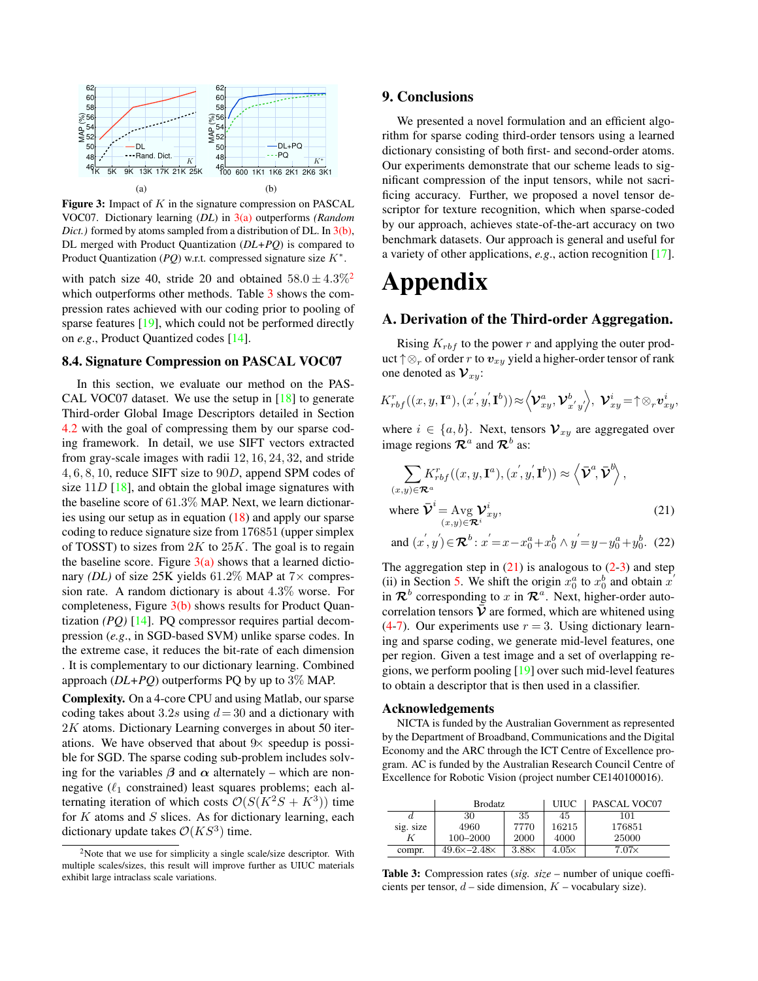<span id="page-7-5"></span><span id="page-7-1"></span>

<span id="page-7-2"></span>Figure 3: Impact of  $K$  in the signature compression on PASCAL VOC07. Dictionary learning (*DL*) in [3\(a\)](#page-7-1) outperforms *(Random Dict.*) formed by atoms sampled from a distribution of DL. In [3\(b\),](#page-7-2) DL merged with Product Quantization (*DL+PQ*) is compared to Product Quantization  $(PQ)$  w.r.t. compressed signature size  $K^*$ .

with patch size 40, stride [2](#page-0-0)0 and obtained  $58.0 \pm 4.3\%$ <sup>2</sup> which outperforms other methods. Table [3](#page-7-3) shows the compression rates achieved with our coding prior to pooling of sparse features [\[19\]](#page-8-37), which could not be performed directly on *e.g*., Product Quantized codes [\[14\]](#page-8-40).

#### 8.4. Signature Compression on PASCAL VOC07

In this section, we evaluate our method on the PAS-CAL VOC07 dataset. We use the setup in [\[18\]](#page-8-0) to generate Third-order Global Image Descriptors detailed in Section [4.2](#page-2-10) with the goal of compressing them by our sparse coding framework. In detail, we use SIFT vectors extracted from gray-scale images with radii 12, 16, 24, 32, and stride 4, 6, 8, 10, reduce SIFT size to 90D, append SPM codes of size  $11D$  [\[18\]](#page-8-0), and obtain the global image signatures with the baseline score of 61.3% MAP. Next, we learn dictionaries using our setup as in equation [\(18\)](#page-4-2) and apply our sparse coding to reduce signature size from 176851 (upper simplex of TOSST) to sizes from  $2K$  to  $25K$ . The goal is to regain the baseline score. Figure  $3(a)$  shows that a learned dictionary *(DL)* of size 25K yields  $61.2\%$  MAP at  $7\times$  compression rate. A random dictionary is about 4.3% worse. For completeness, Figure  $3(b)$  shows results for Product Quantization *(PQ)* [\[14\]](#page-8-40). PQ compressor requires partial decompression (*e.g*., in SGD-based SVM) unlike sparse codes. In the extreme case, it reduces the bit-rate of each dimension . It is complementary to our dictionary learning. Combined approach (*DL+PQ*) outperforms PQ by up to 3% MAP.

Complexity. On a 4-core CPU and using Matlab, our sparse coding takes about 3.2s using  $d = 30$  and a dictionary with 2K atoms. Dictionary Learning converges in about 50 iterations. We have observed that about  $9\times$  speedup is possible for SGD. The sparse coding sub-problem includes solving for the variables  $\beta$  and  $\alpha$  alternately – which are nonnegative ( $\ell_1$  constrained) least squares problems; each alternating iteration of which costs  $\mathcal{O}(S(K^2S + K^3))$  time for  $K$  atoms and  $S$  slices. As for dictionary learning, each dictionary update takes  $\mathcal{O}(KS^3)$  time.

# 9. Conclusions

We presented a novel formulation and an efficient algorithm for sparse coding third-order tensors using a learned dictionary consisting of both first- and second-order atoms. Our experiments demonstrate that our scheme leads to significant compression of the input tensors, while not sacrificing accuracy. Further, we proposed a novel tensor descriptor for texture recognition, which when sparse-coded by our approach, achieves state-of-the-art accuracy on two benchmark datasets. Our approach is general and useful for a variety of other applications, *e.g*., action recognition [\[17\]](#page-8-41).

# Appendix

# <span id="page-7-0"></span>A. Derivation of the Third-order Aggregation.

Rising  $K_{rbf}$  to the power r and applying the outer product  $\uparrow \otimes_r$  of order r to  $v_{xy}$  yield a higher-order tensor of rank one denoted as  $\mathcal{V}_{xy}$ :

$$
K_{rbf}^r((x,y,\mathbf{I}^a),(x^{'},y^{'},\mathbf{I}^b))\approx \left\langle \mathcal{V}_{xy}^a,\mathcal{V}_{x^{'}y^{'}}^b \right\rangle, \ \mathcal{V}_{xy}^i = \uparrow \otimes_r \mathbf{v}_{xy}^i,
$$

where  $i \in \{a, b\}$ . Next, tensors  $\mathcal{V}_{xy}$  are aggregated over image regions  $\mathcal{R}^a$  and  $\mathcal{R}^b$  as:

<span id="page-7-4"></span>
$$
\sum_{(x,y)\in\mathcal{R}^a} K_{rbf}^r((x,y,\mathbf{I}^a), (x^{'},y^{'},\mathbf{I}^b)) \approx \left\langle \bar{\mathbf{\mathcal{V}}}^a, \bar{\mathbf{\mathcal{V}}}^b \right\rangle,
$$

where 
$$
\overline{\mathbf{V}}^i = \text{Avg } \mathbf{V}^i_{xy},
$$
  
\n $(x,y) \in \mathbf{R}^i$  (21)

and 
$$
(x', y') \in \mathbb{R}^b
$$
:  $x' = x - x_0^a + x_0^b \wedge y' = y - y_0^a + y_0^b$ . (22)

The aggregation step in  $(21)$  is analogous to  $(2-3)$  $(2-3)$  and step (ii) in Section [5.](#page-2-0) We shift the origin  $x_0^a$  to  $x_0^b$  and obtain  $x'$ in  $\mathcal{R}^b$  corresponding to x in  $\mathcal{R}^a$ . Next, higher-order autocorrelation tensors  $\bar{\mathbf{V}}$  are formed, which are whitened using [\(4](#page-2-3)[-7\)](#page-2-5). Our experiments use  $r = 3$ . Using dictionary learning and sparse coding, we generate mid-level features, one per region. Given a test image and a set of overlapping regions, we perform pooling [\[19\]](#page-8-37) over such mid-level features to obtain a descriptor that is then used in a classifier.

#### Acknowledgements

NICTA is funded by the Australian Government as represented by the Department of Broadband, Communications and the Digital Economy and the ARC through the ICT Centre of Excellence program. AC is funded by the Australian Research Council Centre of Excellence for Robotic Vision (project number CE140100016).

<span id="page-7-3"></span>

|           | Brodatz                  |              | <b>UIUC</b>  | PASCAL VOC07 |
|-----------|--------------------------|--------------|--------------|--------------|
|           | 30                       | 35           | 45           | 101          |
| sig. size | 4960                     | 7770         | 16215        | 176851       |
|           | 100–2000                 | 2000         | 4000         | 25000        |
| compr.    | $49.6\times -2.48\times$ | $3.88\times$ | $4.05\times$ | $7.07\times$ |

Table 3: Compression rates (*sig. size* – number of unique coefficients per tensor,  $d$  – side dimension,  $K$  – vocabulary size).

<sup>&</sup>lt;sup>2</sup>Note that we use for simplicity a single scale/size descriptor. With multiple scales/sizes, this result will improve further as UIUC materials exhibit large intraclass scale variations.